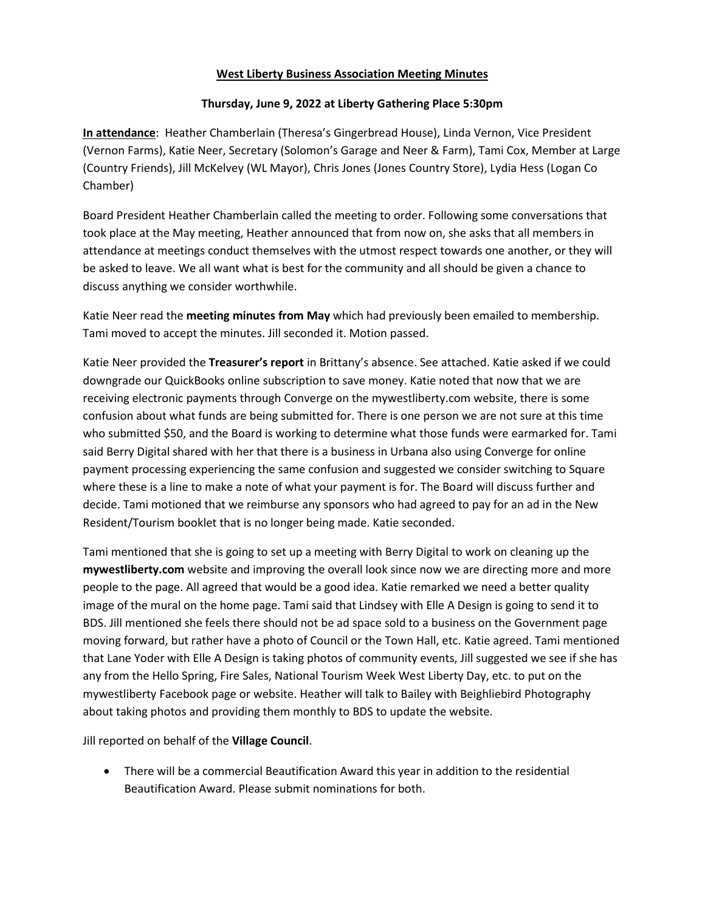## **West Liberty Business Association Meeting Minutes**

## **Thursday, June 9, 2022 at Liberty Gathering Place 5:30pm**

**In attendance**: Heather Chamberlain (Theresa's Gingerbread House), Linda Vernon, Vice President (Vernon Farms), Katie Neer, Secretary (Solomon's Garage and Neer & Farm), Tami Cox, Member at Large (Country Friends), Jill McKelvey (WL Mayor), Chris Jones (Jones Country Store), Lydia Hess (Logan Co Chamber)

Board President Heather Chamberlain called the meeting to order. Following some conversations that took place at the May meeting, Heather announced that from now on, she asks that all members in attendance at meetings conduct themselves with the utmost respect towards one another, or they will be asked to leave. We all want what is best for the community and all should be given a chance to discuss anything we consider worthwhile.

Katie Neer read the **meeting minutes from May** which had previously been emailed to membership. Tami moved to accept the minutes. Jill seconded it. Motion passed.

Katie Neer provided the **Treasurer's report** in Brittany's absence. See attached. Katie asked if we could downgrade our QuickBooks online subscription to save money. Katie noted that now that we are receiving electronic payments through Converge on the mywestliberty.com website, there is some confusion about what funds are being submitted for. There is one person we are not sure at this time who submitted \$50, and the Board is working to determine what those funds were earmarked for. Tami said Berry Digital shared with her that there is a business in Urbana also using Converge for online payment processing experiencing the same confusion and suggested we consider switching to Square where these is a line to make a note of what your payment is for. The Board will discuss further and decide. Tami motioned that we reimburse any sponsors who had agreed to pay for an ad in the New Resident/Tourism booklet that is no longer being made. Katie seconded.

Tami mentioned that she is going to set up a meeting with Berry Digital to work on cleaning up the **mywestliberty.com** website and improving the overall look since now we are directing more and more people to the page. All agreed that would be a good idea. Katie remarked we need a better quality image of the mural on the home page. Tami said that Lindsey with Elle A Design is going to send it to BDS. Jill mentioned she feels there should not be ad space sold to a business on the Government page moving forward, but rather have a photo of Council or the Town Hall, etc. Katie agreed. Tami mentioned that Lane Yoder with Elle A Design is taking photos of community events, Jill suggested we see if she has any from the Hello Spring, Fire Sales, National Tourism Week West Liberty Day, etc. to put on the mywestliberty Facebook page or website. Heather will talk to Bailey with Beighliebird Photography about taking photos and providing them monthly to BDS to update the website.

Jill reported on behalf of the **Village Council**.

• There will be a commercial Beautification Award this year in addition to the residential Beautification Award. Please submit nominations for both.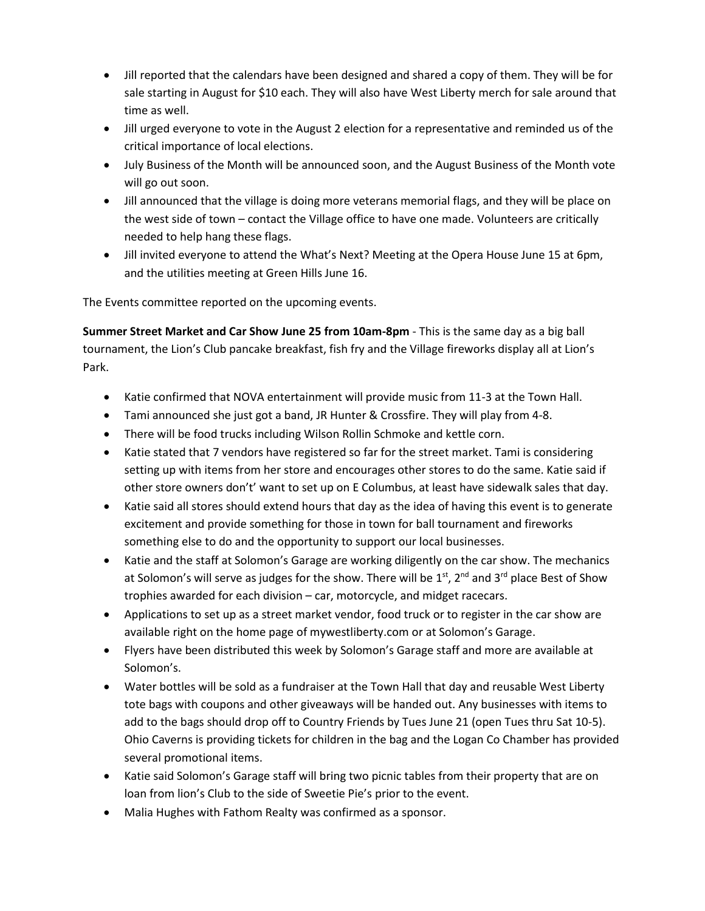- Jill reported that the calendars have been designed and shared a copy of them. They will be for sale starting in August for \$10 each. They will also have West Liberty merch for sale around that time as well.
- Jill urged everyone to vote in the August 2 election for a representative and reminded us of the critical importance of local elections.
- July Business of the Month will be announced soon, and the August Business of the Month vote will go out soon.
- Jill announced that the village is doing more veterans memorial flags, and they will be place on the west side of town – contact the Village office to have one made. Volunteers are critically needed to help hang these flags.
- Jill invited everyone to attend the What's Next? Meeting at the Opera House June 15 at 6pm, and the utilities meeting at Green Hills June 16.

The Events committee reported on the upcoming events.

**Summer Street Market and Car Show June 25 from 10am-8pm** - This is the same day as a big ball tournament, the Lion's Club pancake breakfast, fish fry and the Village fireworks display all at Lion's Park.

- Katie confirmed that NOVA entertainment will provide music from 11-3 at the Town Hall.
- Tami announced she just got a band, JR Hunter & Crossfire. They will play from 4-8.
- There will be food trucks including Wilson Rollin Schmoke and kettle corn.
- Katie stated that 7 vendors have registered so far for the street market. Tami is considering setting up with items from her store and encourages other stores to do the same. Katie said if other store owners don't' want to set up on E Columbus, at least have sidewalk sales that day.
- Katie said all stores should extend hours that day as the idea of having this event is to generate excitement and provide something for those in town for ball tournament and fireworks something else to do and the opportunity to support our local businesses.
- Katie and the staff at Solomon's Garage are working diligently on the car show. The mechanics at Solomon's will serve as judges for the show. There will be  $1<sup>st</sup>$ ,  $2<sup>nd</sup>$  and  $3<sup>rd</sup>$  place Best of Show trophies awarded for each division – car, motorcycle, and midget racecars.
- Applications to set up as a street market vendor, food truck or to register in the car show are available right on the home page of mywestliberty.com or at Solomon's Garage.
- Flyers have been distributed this week by Solomon's Garage staff and more are available at Solomon's.
- Water bottles will be sold as a fundraiser at the Town Hall that day and reusable West Liberty tote bags with coupons and other giveaways will be handed out. Any businesses with items to add to the bags should drop off to Country Friends by Tues June 21 (open Tues thru Sat 10-5). Ohio Caverns is providing tickets for children in the bag and the Logan Co Chamber has provided several promotional items.
- Katie said Solomon's Garage staff will bring two picnic tables from their property that are on loan from lion's Club to the side of Sweetie Pie's prior to the event.
- Malia Hughes with Fathom Realty was confirmed as a sponsor.